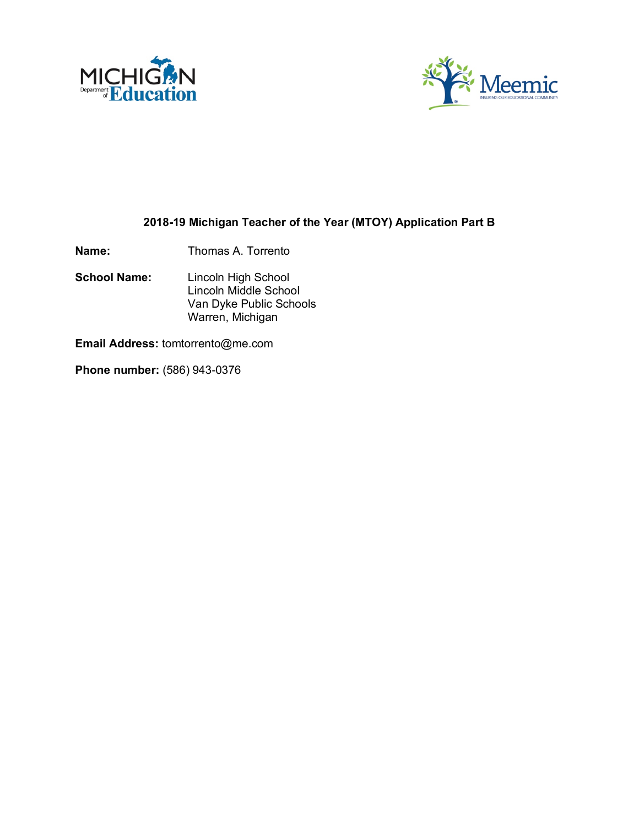



## **2018-19 Michigan Teacher of the Year (MTOY) Application Part B**

**Name:** Thomas A. Torrento

**School Name:** Lincoln High School Lincoln Middle School Van Dyke Public Schools Warren, Michigan

**Email Address:** tomtorrento@me.com

**Phone number:** (586) 943-0376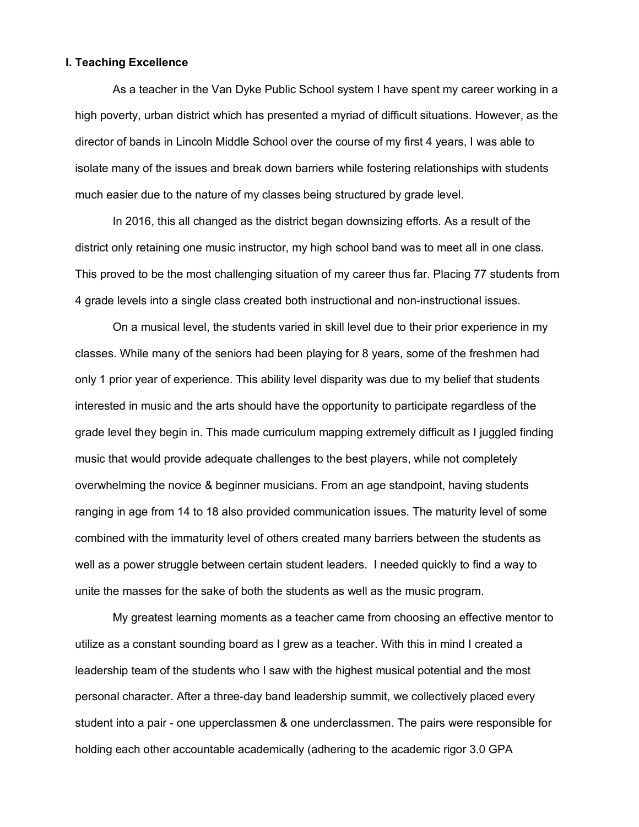### **I. Teaching Excellence**

As a teacher in the Van Dyke Public School system I have spent my career working in a high poverty, urban district which has presented a myriad of difficult situations. However, as the director of bands in Lincoln Middle School over the course of my first 4 years, I was able to isolate many of the issues and break down barriers while fostering relationships with students much easier due to the nature of my classes being structured by grade level.

In 2016, this all changed as the district began downsizing efforts. As a result of the district only retaining one music instructor, my high school band was to meet all in one class. This proved to be the most challenging situation of my career thus far. Placing 77 students from 4 grade levels into a single class created both instructional and non-instructional issues.

On a musical level, the students varied in skill level due to their prior experience in my classes. While many of the seniors had been playing for 8 years, some of the freshmen had only 1 prior year of experience. This ability level disparity was due to my belief that students interested in music and the arts should have the opportunity to participate regardless of the grade level they begin in. This made curriculum mapping extremely difficult as I juggled finding music that would provide adequate challenges to the best players, while not completely overwhelming the novice & beginner musicians. From an age standpoint, having students ranging in age from 14 to 18 also provided communication issues. The maturity level of some combined with the immaturity level of others created many barriers between the students as well as a power struggle between certain student leaders. I needed quickly to find a way to unite the masses for the sake of both the students as well as the music program.

My greatest learning moments as a teacher came from choosing an effective mentor to utilize as a constant sounding board as I grew as a teacher. With this in mind I created a leadership team of the students who I saw with the highest musical potential and the most personal character. After a three-day band leadership summit, we collectively placed every student into a pair - one upperclassmen & one underclassmen. The pairs were responsible for holding each other accountable academically (adhering to the academic rigor 3.0 GPA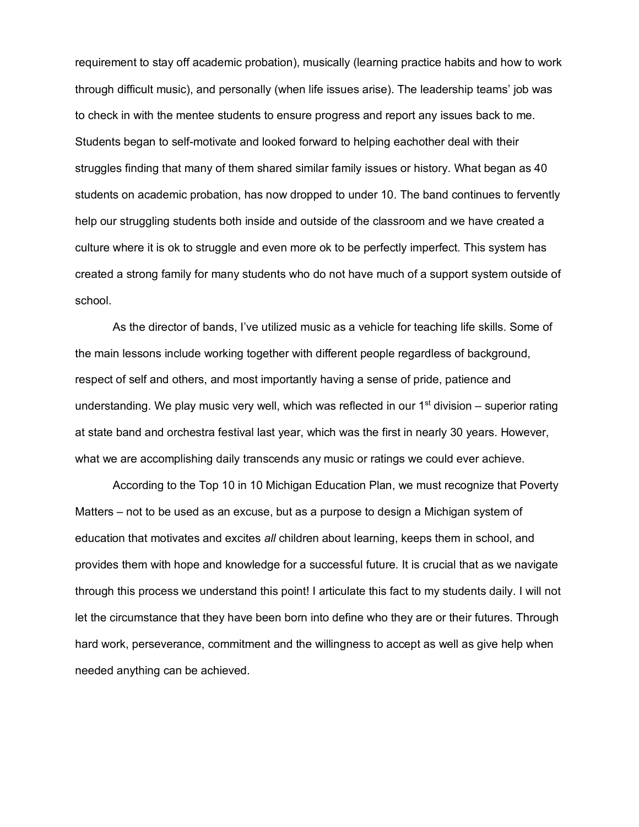requirement to stay off academic probation), musically (learning practice habits and how to work through difficult music), and personally (when life issues arise). The leadership teams' job was to check in with the mentee students to ensure progress and report any issues back to me. Students began to self-motivate and looked forward to helping eachother deal with their struggles finding that many of them shared similar family issues or history. What began as 40 students on academic probation, has now dropped to under 10. The band continues to fervently help our struggling students both inside and outside of the classroom and we have created a culture where it is ok to struggle and even more ok to be perfectly imperfect. This system has created a strong family for many students who do not have much of a support system outside of school.

As the director of bands, I've utilized music as a vehicle for teaching life skills. Some of the main lessons include working together with different people regardless of background, respect of self and others, and most importantly having a sense of pride, patience and understanding. We play music very well, which was reflected in our  $1<sup>st</sup>$  division – superior rating at state band and orchestra festival last year, which was the first in nearly 30 years. However, what we are accomplishing daily transcends any music or ratings we could ever achieve.

According to the Top 10 in 10 Michigan Education Plan, we must recognize that Poverty Matters – not to be used as an excuse, but as a purpose to design a Michigan system of education that motivates and excites *all* children about learning, keeps them in school, and provides them with hope and knowledge for a successful future. It is crucial that as we navigate through this process we understand this point! I articulate this fact to my students daily. I will not let the circumstance that they have been born into define who they are or their futures. Through hard work, perseverance, commitment and the willingness to accept as well as give help when needed anything can be achieved.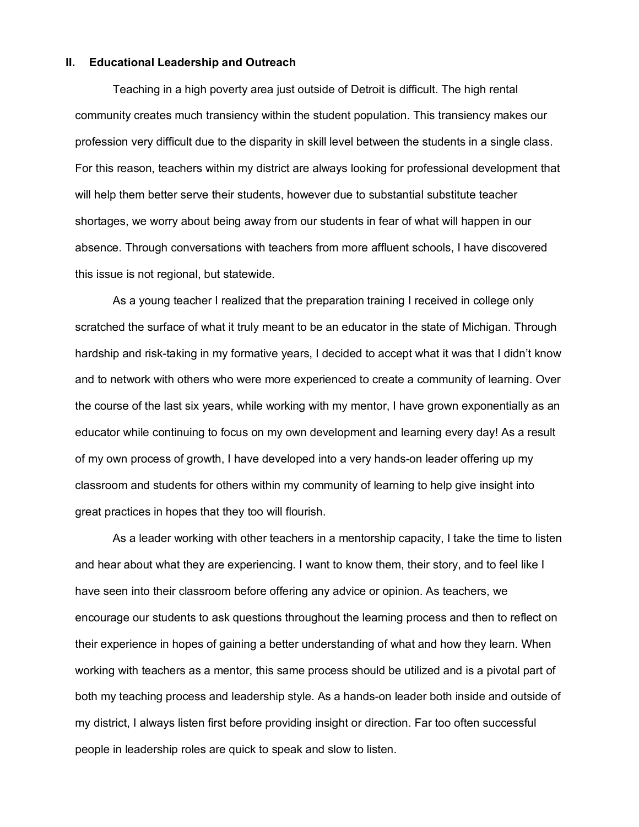### **II. Educational Leadership and Outreach**

Teaching in a high poverty area just outside of Detroit is difficult. The high rental community creates much transiency within the student population. This transiency makes our profession very difficult due to the disparity in skill level between the students in a single class. For this reason, teachers within my district are always looking for professional development that will help them better serve their students, however due to substantial substitute teacher shortages, we worry about being away from our students in fear of what will happen in our absence. Through conversations with teachers from more affluent schools, I have discovered this issue is not regional, but statewide.

As a young teacher I realized that the preparation training I received in college only scratched the surface of what it truly meant to be an educator in the state of Michigan. Through hardship and risk-taking in my formative years, I decided to accept what it was that I didn't know and to network with others who were more experienced to create a community of learning. Over the course of the last six years, while working with my mentor, I have grown exponentially as an educator while continuing to focus on my own development and learning every day! As a result of my own process of growth, I have developed into a very hands-on leader offering up my classroom and students for others within my community of learning to help give insight into great practices in hopes that they too will flourish.

As a leader working with other teachers in a mentorship capacity, I take the time to listen and hear about what they are experiencing. I want to know them, their story, and to feel like I have seen into their classroom before offering any advice or opinion. As teachers, we encourage our students to ask questions throughout the learning process and then to reflect on their experience in hopes of gaining a better understanding of what and how they learn. When working with teachers as a mentor, this same process should be utilized and is a pivotal part of both my teaching process and leadership style. As a hands-on leader both inside and outside of my district, I always listen first before providing insight or direction. Far too often successful people in leadership roles are quick to speak and slow to listen.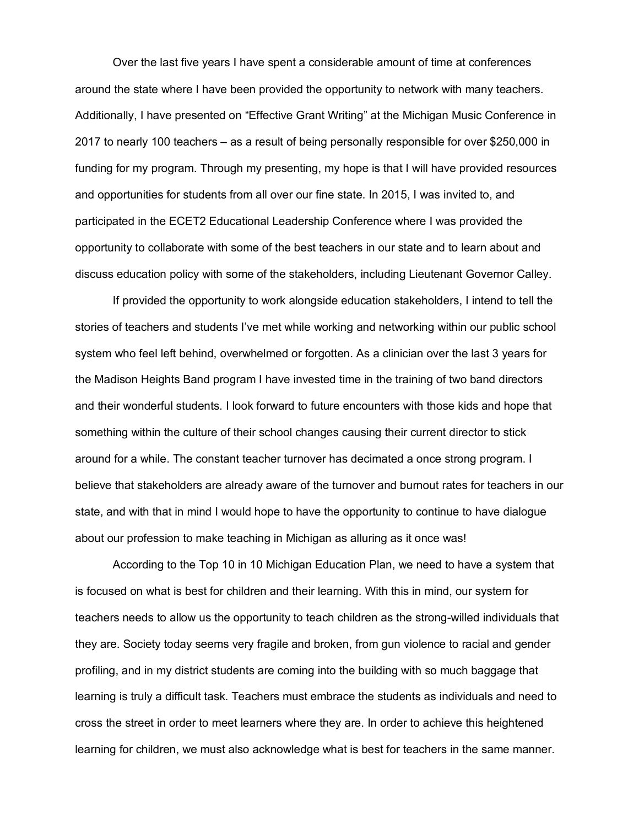Over the last five years I have spent a considerable amount of time at conferences around the state where I have been provided the opportunity to network with many teachers. Additionally, I have presented on "Effective Grant Writing" at the Michigan Music Conference in 2017 to nearly 100 teachers – as a result of being personally responsible for over \$250,000 in funding for my program. Through my presenting, my hope is that I will have provided resources and opportunities for students from all over our fine state. In 2015, I was invited to, and participated in the ECET2 Educational Leadership Conference where I was provided the opportunity to collaborate with some of the best teachers in our state and to learn about and discuss education policy with some of the stakeholders, including Lieutenant Governor Calley.

If provided the opportunity to work alongside education stakeholders, I intend to tell the stories of teachers and students I've met while working and networking within our public school system who feel left behind, overwhelmed or forgotten. As a clinician over the last 3 years for the Madison Heights Band program I have invested time in the training of two band directors and their wonderful students. I look forward to future encounters with those kids and hope that something within the culture of their school changes causing their current director to stick around for a while. The constant teacher turnover has decimated a once strong program. I believe that stakeholders are already aware of the turnover and burnout rates for teachers in our state, and with that in mind I would hope to have the opportunity to continue to have dialogue about our profession to make teaching in Michigan as alluring as it once was!

According to the Top 10 in 10 Michigan Education Plan, we need to have a system that is focused on what is best for children and their learning. With this in mind, our system for teachers needs to allow us the opportunity to teach children as the strong-willed individuals that they are. Society today seems very fragile and broken, from gun violence to racial and gender profiling, and in my district students are coming into the building with so much baggage that learning is truly a difficult task. Teachers must embrace the students as individuals and need to cross the street in order to meet learners where they are. In order to achieve this heightened learning for children, we must also acknowledge what is best for teachers in the same manner.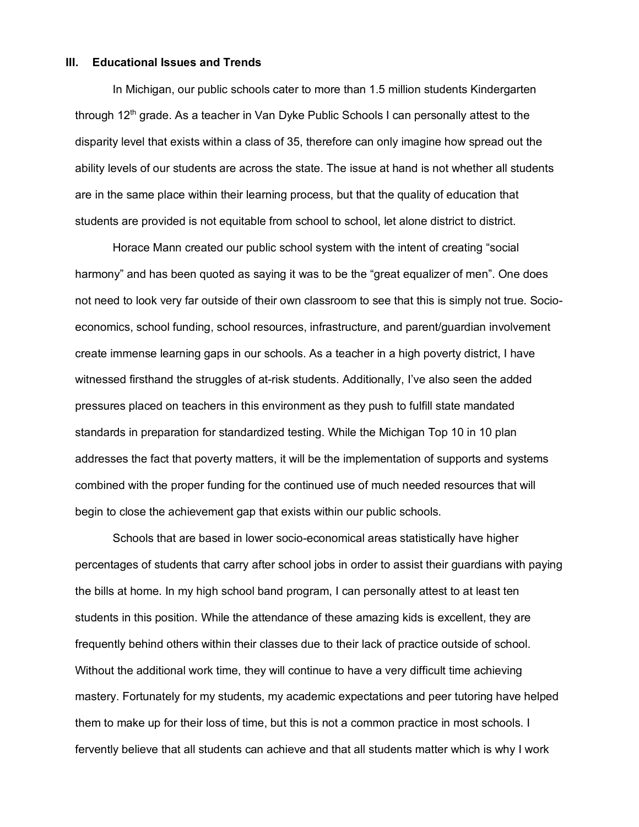#### **III. Educational Issues and Trends**

In Michigan, our public schools cater to more than 1.5 million students Kindergarten through  $12<sup>th</sup>$  grade. As a teacher in Van Dyke Public Schools I can personally attest to the disparity level that exists within a class of 35, therefore can only imagine how spread out the ability levels of our students are across the state. The issue at hand is not whether all students are in the same place within their learning process, but that the quality of education that students are provided is not equitable from school to school, let alone district to district.

Horace Mann created our public school system with the intent of creating "social harmony" and has been quoted as saying it was to be the "great equalizer of men". One does not need to look very far outside of their own classroom to see that this is simply not true. Socioeconomics, school funding, school resources, infrastructure, and parent/guardian involvement create immense learning gaps in our schools. As a teacher in a high poverty district, I have witnessed firsthand the struggles of at-risk students. Additionally, I've also seen the added pressures placed on teachers in this environment as they push to fulfill state mandated standards in preparation for standardized testing. While the Michigan Top 10 in 10 plan addresses the fact that poverty matters, it will be the implementation of supports and systems combined with the proper funding for the continued use of much needed resources that will begin to close the achievement gap that exists within our public schools.

Schools that are based in lower socio-economical areas statistically have higher percentages of students that carry after school jobs in order to assist their guardians with paying the bills at home. In my high school band program, I can personally attest to at least ten students in this position. While the attendance of these amazing kids is excellent, they are frequently behind others within their classes due to their lack of practice outside of school. Without the additional work time, they will continue to have a very difficult time achieving mastery. Fortunately for my students, my academic expectations and peer tutoring have helped them to make up for their loss of time, but this is not a common practice in most schools. I fervently believe that all students can achieve and that all students matter which is why I work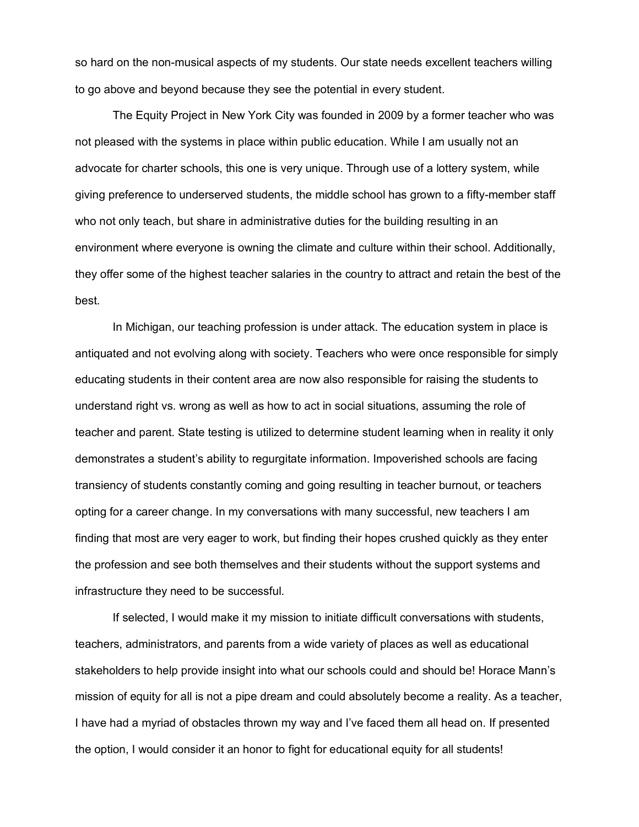so hard on the non-musical aspects of my students. Our state needs excellent teachers willing to go above and beyond because they see the potential in every student.

The Equity Project in New York City was founded in 2009 by a former teacher who was not pleased with the systems in place within public education. While I am usually not an advocate for charter schools, this one is very unique. Through use of a lottery system, while giving preference to underserved students, the middle school has grown to a fifty-member staff who not only teach, but share in administrative duties for the building resulting in an environment where everyone is owning the climate and culture within their school. Additionally, they offer some of the highest teacher salaries in the country to attract and retain the best of the best.

In Michigan, our teaching profession is under attack. The education system in place is antiquated and not evolving along with society. Teachers who were once responsible for simply educating students in their content area are now also responsible for raising the students to understand right vs. wrong as well as how to act in social situations, assuming the role of teacher and parent. State testing is utilized to determine student learning when in reality it only demonstrates a student's ability to regurgitate information. Impoverished schools are facing transiency of students constantly coming and going resulting in teacher burnout, or teachers opting for a career change. In my conversations with many successful, new teachers I am finding that most are very eager to work, but finding their hopes crushed quickly as they enter the profession and see both themselves and their students without the support systems and infrastructure they need to be successful.

If selected, I would make it my mission to initiate difficult conversations with students, teachers, administrators, and parents from a wide variety of places as well as educational stakeholders to help provide insight into what our schools could and should be! Horace Mann's mission of equity for all is not a pipe dream and could absolutely become a reality. As a teacher, I have had a myriad of obstacles thrown my way and I've faced them all head on. If presented the option, I would consider it an honor to fight for educational equity for all students!